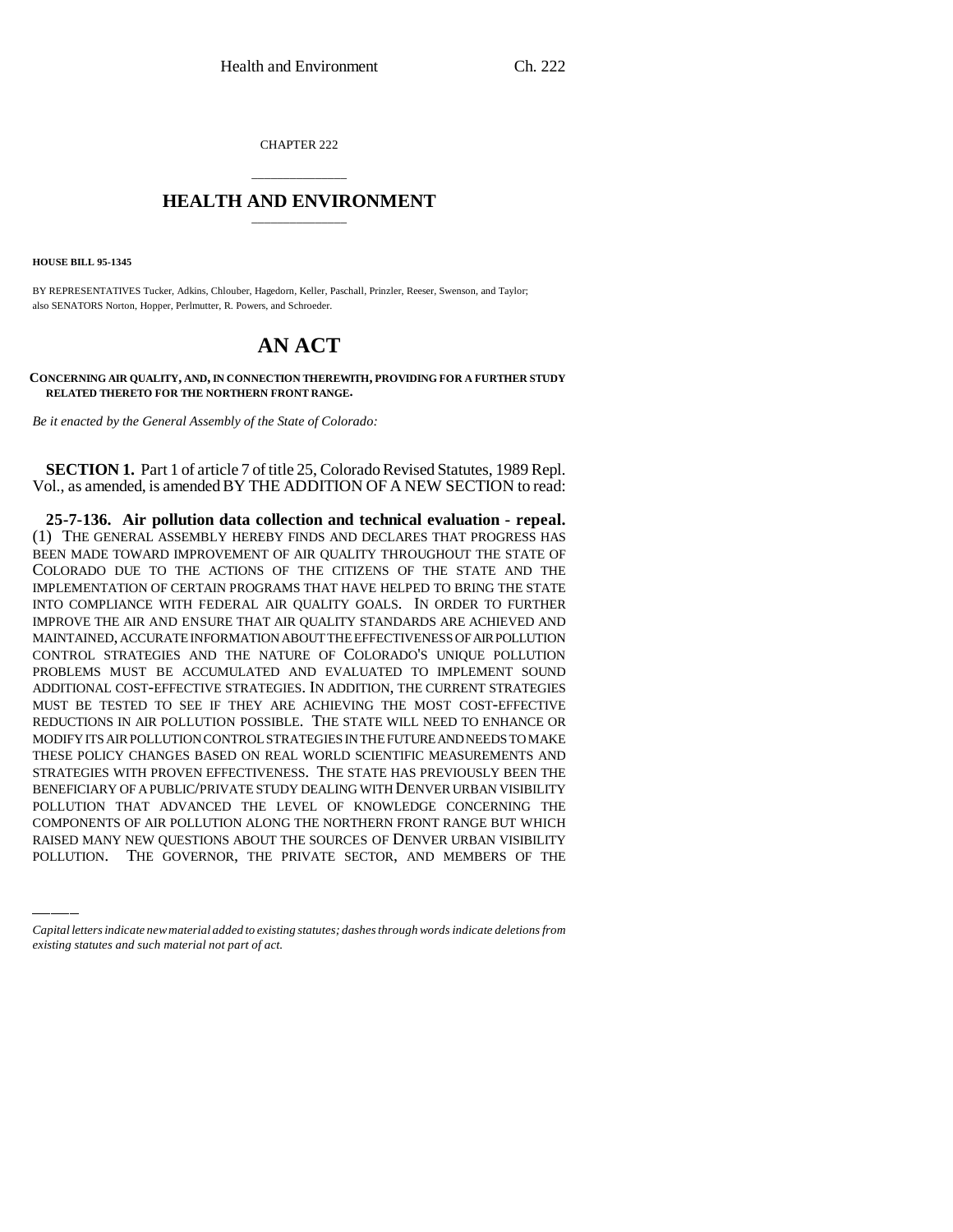CHAPTER 222

## \_\_\_\_\_\_\_\_\_\_\_\_\_\_\_ **HEALTH AND ENVIRONMENT** \_\_\_\_\_\_\_\_\_\_\_\_\_\_\_

**HOUSE BILL 95-1345**

BY REPRESENTATIVES Tucker, Adkins, Chlouber, Hagedorn, Keller, Paschall, Prinzler, Reeser, Swenson, and Taylor; also SENATORS Norton, Hopper, Perlmutter, R. Powers, and Schroeder.

## **AN ACT**

**CONCERNING AIR QUALITY, AND, IN CONNECTION THEREWITH, PROVIDING FOR A FURTHER STUDY RELATED THERETO FOR THE NORTHERN FRONT RANGE.**

*Be it enacted by the General Assembly of the State of Colorado:*

**SECTION 1.** Part 1 of article 7 of title 25, Colorado Revised Statutes, 1989 Repl. Vol., as amended, is amended BY THE ADDITION OF A NEW SECTION to read:

BENEFICIARY OF APOBLIC/PRIVATE STODY DEALING WITH DENVER ORBAN VISIBILITY<br>POLLUTION THAT ADVANCED THE LEVEL OF KNOWLEDGE CONCERNING THE **25-7-136. Air pollution data collection and technical evaluation - repeal.** (1) THE GENERAL ASSEMBLY HEREBY FINDS AND DECLARES THAT PROGRESS HAS BEEN MADE TOWARD IMPROVEMENT OF AIR QUALITY THROUGHOUT THE STATE OF COLORADO DUE TO THE ACTIONS OF THE CITIZENS OF THE STATE AND THE IMPLEMENTATION OF CERTAIN PROGRAMS THAT HAVE HELPED TO BRING THE STATE INTO COMPLIANCE WITH FEDERAL AIR QUALITY GOALS. IN ORDER TO FURTHER IMPROVE THE AIR AND ENSURE THAT AIR QUALITY STANDARDS ARE ACHIEVED AND MAINTAINED, ACCURATE INFORMATION ABOUT THE EFFECTIVENESS OF AIR POLLUTION CONTROL STRATEGIES AND THE NATURE OF COLORADO'S UNIQUE POLLUTION PROBLEMS MUST BE ACCUMULATED AND EVALUATED TO IMPLEMENT SOUND ADDITIONAL COST-EFFECTIVE STRATEGIES. IN ADDITION, THE CURRENT STRATEGIES MUST BE TESTED TO SEE IF THEY ARE ACHIEVING THE MOST COST-EFFECTIVE REDUCTIONS IN AIR POLLUTION POSSIBLE. THE STATE WILL NEED TO ENHANCE OR MODIFY ITS AIR POLLUTION CONTROL STRATEGIES IN THE FUTURE AND NEEDS TO MAKE THESE POLICY CHANGES BASED ON REAL WORLD SCIENTIFIC MEASUREMENTS AND STRATEGIES WITH PROVEN EFFECTIVENESS. THE STATE HAS PREVIOUSLY BEEN THE BENEFICIARY OF A PUBLIC/PRIVATE STUDY DEALING WITH DENVER URBAN VISIBILITY COMPONENTS OF AIR POLLUTION ALONG THE NORTHERN FRONT RANGE BUT WHICH RAISED MANY NEW QUESTIONS ABOUT THE SOURCES OF DENVER URBAN VISIBILITY POLLUTION. THE GOVERNOR, THE PRIVATE SECTOR, AND MEMBERS OF THE

*Capital letters indicate new material added to existing statutes; dashes through words indicate deletions from existing statutes and such material not part of act.*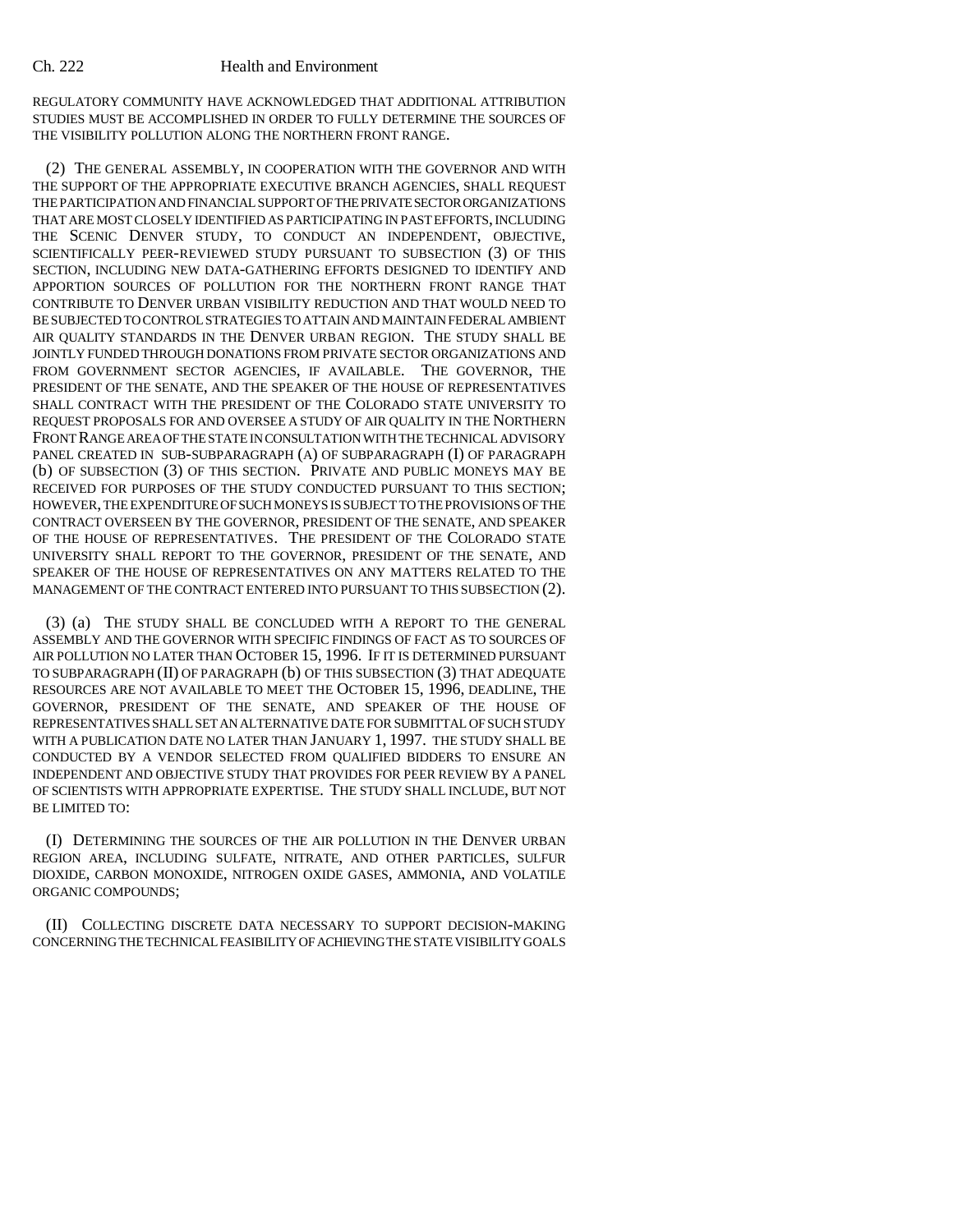## Ch. 222 Health and Environment

REGULATORY COMMUNITY HAVE ACKNOWLEDGED THAT ADDITIONAL ATTRIBUTION STUDIES MUST BE ACCOMPLISHED IN ORDER TO FULLY DETERMINE THE SOURCES OF THE VISIBILITY POLLUTION ALONG THE NORTHERN FRONT RANGE.

(2) THE GENERAL ASSEMBLY, IN COOPERATION WITH THE GOVERNOR AND WITH THE SUPPORT OF THE APPROPRIATE EXECUTIVE BRANCH AGENCIES, SHALL REQUEST THE PARTICIPATION AND FINANCIAL SUPPORT OF THE PRIVATE SECTOR ORGANIZATIONS THAT ARE MOST CLOSELY IDENTIFIED AS PARTICIPATING IN PAST EFFORTS, INCLUDING THE SCENIC DENVER STUDY, TO CONDUCT AN INDEPENDENT, OBJECTIVE, SCIENTIFICALLY PEER-REVIEWED STUDY PURSUANT TO SUBSECTION (3) OF THIS SECTION, INCLUDING NEW DATA-GATHERING EFFORTS DESIGNED TO IDENTIFY AND APPORTION SOURCES OF POLLUTION FOR THE NORTHERN FRONT RANGE THAT CONTRIBUTE TO DENVER URBAN VISIBILITY REDUCTION AND THAT WOULD NEED TO BE SUBJECTED TO CONTROL STRATEGIES TO ATTAIN AND MAINTAIN FEDERAL AMBIENT AIR QUALITY STANDARDS IN THE DENVER URBAN REGION. THE STUDY SHALL BE JOINTLY FUNDED THROUGH DONATIONS FROM PRIVATE SECTOR ORGANIZATIONS AND FROM GOVERNMENT SECTOR AGENCIES, IF AVAILABLE. THE GOVERNOR, THE PRESIDENT OF THE SENATE, AND THE SPEAKER OF THE HOUSE OF REPRESENTATIVES SHALL CONTRACT WITH THE PRESIDENT OF THE COLORADO STATE UNIVERSITY TO REQUEST PROPOSALS FOR AND OVERSEE A STUDY OF AIR QUALITY IN THE NORTHERN FRONT RANGE AREA OF THE STATE IN CONSULTATION WITH THE TECHNICAL ADVISORY PANEL CREATED IN SUB-SUBPARAGRAPH (A) OF SUBPARAGRAPH (I) OF PARAGRAPH (b) OF SUBSECTION (3) OF THIS SECTION. PRIVATE AND PUBLIC MONEYS MAY BE RECEIVED FOR PURPOSES OF THE STUDY CONDUCTED PURSUANT TO THIS SECTION; HOWEVER, THE EXPENDITURE OF SUCH MONEYS IS SUBJECT TO THE PROVISIONS OF THE CONTRACT OVERSEEN BY THE GOVERNOR, PRESIDENT OF THE SENATE, AND SPEAKER OF THE HOUSE OF REPRESENTATIVES. THE PRESIDENT OF THE COLORADO STATE UNIVERSITY SHALL REPORT TO THE GOVERNOR, PRESIDENT OF THE SENATE, AND SPEAKER OF THE HOUSE OF REPRESENTATIVES ON ANY MATTERS RELATED TO THE MANAGEMENT OF THE CONTRACT ENTERED INTO PURSUANT TO THIS SUBSECTION (2).

(3) (a) THE STUDY SHALL BE CONCLUDED WITH A REPORT TO THE GENERAL ASSEMBLY AND THE GOVERNOR WITH SPECIFIC FINDINGS OF FACT AS TO SOURCES OF AIR POLLUTION NO LATER THAN OCTOBER 15, 1996. IF IT IS DETERMINED PURSUANT TO SUBPARAGRAPH (II) OF PARAGRAPH (b) OF THIS SUBSECTION (3) THAT ADEQUATE RESOURCES ARE NOT AVAILABLE TO MEET THE OCTOBER 15, 1996, DEADLINE, THE GOVERNOR, PRESIDENT OF THE SENATE, AND SPEAKER OF THE HOUSE OF REPRESENTATIVES SHALL SET AN ALTERNATIVE DATE FOR SUBMITTAL OF SUCH STUDY WITH A PUBLICATION DATE NO LATER THAN JANUARY 1, 1997. THE STUDY SHALL BE CONDUCTED BY A VENDOR SELECTED FROM QUALIFIED BIDDERS TO ENSURE AN INDEPENDENT AND OBJECTIVE STUDY THAT PROVIDES FOR PEER REVIEW BY A PANEL OF SCIENTISTS WITH APPROPRIATE EXPERTISE. THE STUDY SHALL INCLUDE, BUT NOT BE LIMITED TO:

(I) DETERMINING THE SOURCES OF THE AIR POLLUTION IN THE DENVER URBAN REGION AREA, INCLUDING SULFATE, NITRATE, AND OTHER PARTICLES, SULFUR DIOXIDE, CARBON MONOXIDE, NITROGEN OXIDE GASES, AMMONIA, AND VOLATILE ORGANIC COMPOUNDS;

(II) COLLECTING DISCRETE DATA NECESSARY TO SUPPORT DECISION-MAKING CONCERNING THE TECHNICAL FEASIBILITY OF ACHIEVING THE STATE VISIBILITY GOALS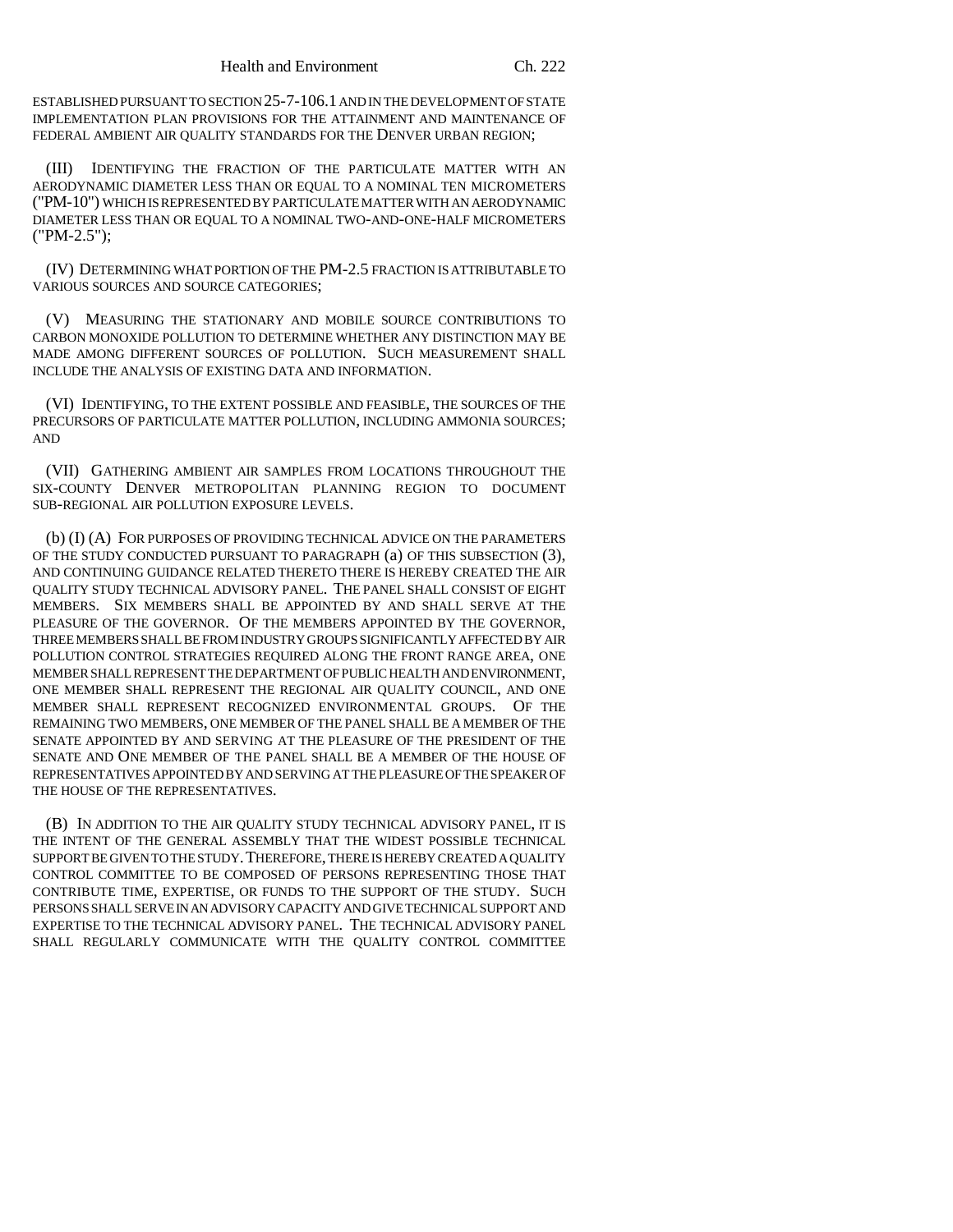ESTABLISHED PURSUANT TO SECTION 25-7-106.1 AND IN THE DEVELOPMENT OF STATE IMPLEMENTATION PLAN PROVISIONS FOR THE ATTAINMENT AND MAINTENANCE OF FEDERAL AMBIENT AIR QUALITY STANDARDS FOR THE DENVER URBAN REGION;

(III) IDENTIFYING THE FRACTION OF THE PARTICULATE MATTER WITH AN AERODYNAMIC DIAMETER LESS THAN OR EQUAL TO A NOMINAL TEN MICROMETERS ("PM-10") WHICH IS REPRESENTED BY PARTICULATE MATTER WITH AN AERODYNAMIC DIAMETER LESS THAN OR EQUAL TO A NOMINAL TWO-AND-ONE-HALF MICROMETERS ("PM-2.5");

(IV) DETERMINING WHAT PORTION OF THE PM-2.5 FRACTION IS ATTRIBUTABLE TO VARIOUS SOURCES AND SOURCE CATEGORIES;

(V) MEASURING THE STATIONARY AND MOBILE SOURCE CONTRIBUTIONS TO CARBON MONOXIDE POLLUTION TO DETERMINE WHETHER ANY DISTINCTION MAY BE MADE AMONG DIFFERENT SOURCES OF POLLUTION. SUCH MEASUREMENT SHALL INCLUDE THE ANALYSIS OF EXISTING DATA AND INFORMATION.

(VI) IDENTIFYING, TO THE EXTENT POSSIBLE AND FEASIBLE, THE SOURCES OF THE PRECURSORS OF PARTICULATE MATTER POLLUTION, INCLUDING AMMONIA SOURCES; AND

(VII) GATHERING AMBIENT AIR SAMPLES FROM LOCATIONS THROUGHOUT THE SIX-COUNTY DENVER METROPOLITAN PLANNING REGION TO DOCUMENT SUB-REGIONAL AIR POLLUTION EXPOSURE LEVELS.

(b) (I) (A) FOR PURPOSES OF PROVIDING TECHNICAL ADVICE ON THE PARAMETERS OF THE STUDY CONDUCTED PURSUANT TO PARAGRAPH (a) OF THIS SUBSECTION (3), AND CONTINUING GUIDANCE RELATED THERETO THERE IS HEREBY CREATED THE AIR QUALITY STUDY TECHNICAL ADVISORY PANEL. THE PANEL SHALL CONSIST OF EIGHT MEMBERS. SIX MEMBERS SHALL BE APPOINTED BY AND SHALL SERVE AT THE PLEASURE OF THE GOVERNOR. OF THE MEMBERS APPOINTED BY THE GOVERNOR, THREE MEMBERS SHALL BE FROM INDUSTRY GROUPS SIGNIFICANTLY AFFECTED BY AIR POLLUTION CONTROL STRATEGIES REQUIRED ALONG THE FRONT RANGE AREA, ONE MEMBER SHALL REPRESENT THE DEPARTMENT OF PUBLIC HEALTH AND ENVIRONMENT, ONE MEMBER SHALL REPRESENT THE REGIONAL AIR QUALITY COUNCIL, AND ONE MEMBER SHALL REPRESENT RECOGNIZED ENVIRONMENTAL GROUPS. OF THE REMAINING TWO MEMBERS, ONE MEMBER OF THE PANEL SHALL BE A MEMBER OF THE SENATE APPOINTED BY AND SERVING AT THE PLEASURE OF THE PRESIDENT OF THE SENATE AND ONE MEMBER OF THE PANEL SHALL BE A MEMBER OF THE HOUSE OF REPRESENTATIVES APPOINTED BY AND SERVING AT THE PLEASURE OF THE SPEAKER OF THE HOUSE OF THE REPRESENTATIVES.

(B) IN ADDITION TO THE AIR QUALITY STUDY TECHNICAL ADVISORY PANEL, IT IS THE INTENT OF THE GENERAL ASSEMBLY THAT THE WIDEST POSSIBLE TECHNICAL SUPPORT BE GIVEN TO THE STUDY. THEREFORE, THERE IS HEREBY CREATED A QUALITY CONTROL COMMITTEE TO BE COMPOSED OF PERSONS REPRESENTING THOSE THAT CONTRIBUTE TIME, EXPERTISE, OR FUNDS TO THE SUPPORT OF THE STUDY. SUCH PERSONS SHALL SERVE IN AN ADVISORY CAPACITY AND GIVE TECHNICAL SUPPORT AND EXPERTISE TO THE TECHNICAL ADVISORY PANEL. THE TECHNICAL ADVISORY PANEL SHALL REGULARLY COMMUNICATE WITH THE QUALITY CONTROL COMMITTEE